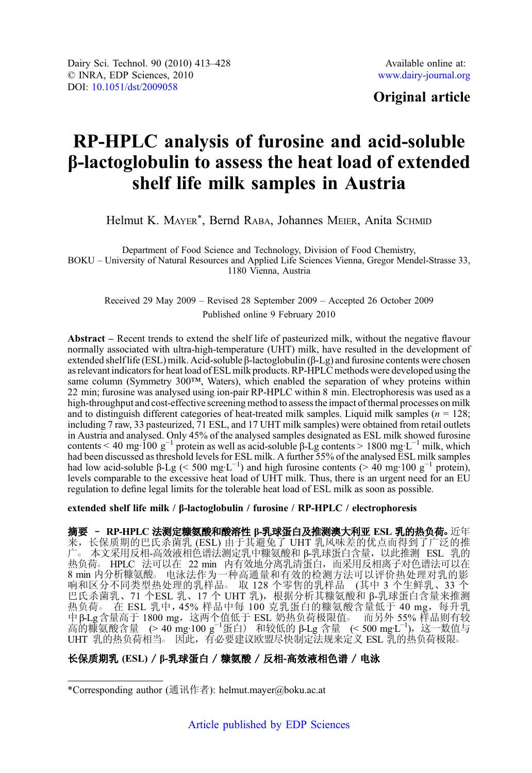# Original article

# RP-HPLC analysis of furosine and acid-soluble β-lactoglobulin to assess the heat load of extended shelf life milk samples in Austria

Helmut K. MAYER<sup>\*</sup>, Bernd RABA, Johannes MEIER, Anita SCHMID

Department of Food Science and Technology, Division of Food Chemistry, BOKU – University of Natural Resources and Applied Life Sciences Vienna, Gregor Mendel-Strasse 33, 1180 Vienna, Austria

Received 29 May 2009 – Revised 28 September 2009 – Accepted 26 October 2009 Published online 9 February 2010

Abstract – Recent trends to extend the shelf life of pasteurized milk, without the negative flavour normally associated with ultra-high-temperature (UHT) milk, have resulted in the development of extended shelf life (ESL) milk. Acid-soluble β-lactoglobulin (β-Lg) and furosine contents were chosen as relevant indicators for heat load of ESL milk products. RP-HPLC methods were developed using the same column (Symmetry 300™, Waters), which enabled the separation of whey proteins within 22 min; furosine was analysed using ion-pair RP-HPLC within 8 min. Electrophoresis was used as a high-throughput and cost-effective screening method to assess the impact of thermal processes on milk and to distinguish different categories of heat-treated milk samples. Liquid milk samples ( $n = 128$ ; including 7 raw, 33 pasteurized, 71 ESL, and 17 UHT milk samples) were obtained from retail outlets in Austria and analysed. Only 45% of the analysed samples designated as ESL milk showed furosine contents < 40 mg·100 g<sup>-1</sup> protein as well as acid-soluble  $\beta$ -Lg contents > 1800 mg·L<sup>-1</sup> milk, which had been discussed as threshold levels for ESL milk. A further 55% of the analysed ESL milk samples had low acid-soluble β-Lg (< 500 mg·L<sup>-1</sup>) and high furosine contents (> 40 mg·100 g<sup>-1</sup> protein), levels comparable to the excessive heat load of UHT milk. Thus, there is an urgent need for an EU regulation to define legal limits for the tolerable heat load of ESL milk as soon as possible.

extended shelf life milk / β-lactoglobulin / furosine / RP-HPLC / electrophoresis

摘要 - RP-HPLC 法测定糠氨酸和酸溶性 β-乳球蛋白及推测澳大利亚 ESL 乳的热负荷。近年 来,长保质期的巴氏杀菌乳 (ESL) 由于其避免了 UHT 乳风味差的优点而得到了广泛的推 广○ 本文采用反相-高效液相色谱法测定乳中糠氨酸和 β-乳球蛋白含量,以此推测 ESL 乳的 热负荷。 HPLC 法可以在 22 min 内有效地分离乳清蛋白,而采用反相离子对色谱法可以在 min 内分析糠氨酸。 电泳法作为一种高通量和有效的检测方法可以评价热处理对乳的影 响和区分不同类型热处理的乳样品。取 128 个零售的乳样品 (其中 3 个生鲜乳、33 个 巴氏杀菌乳、71 个ESL 乳、17 个 UHT 乳),根据分析其糠氨酸和 β-乳球蛋白含量来推测 热负荷。 在 ESL 乳中, 45% 样品中每 100 克乳蛋白的糠氨酸含量低于 40 mg, 每升乳 中β-Lg含量高于 1800 mg,这两个值低于 ESL 奶热负荷极限值。 而另外 55% 样品则有较<br>高的糠氨酸含量 (> 40 mg·100 g<sup>-1</sup>蛋白) 和较低的 β-Lg 含量 (< 500 mg·L<sup>−1</sup>),这一数值与 UHT 乳的热负荷相当。因此, 有必要建议欧盟尽快制定法规来定义 ESL 乳的热负荷极限。

# 长保质期乳 (ESL) / b-乳球蛋白 / 糠氨酸 / 反相-高效液相色谱 / 电泳

<sup>\*</sup>Corresponding author (通讯作者): helmut.mayer@boku.ac.at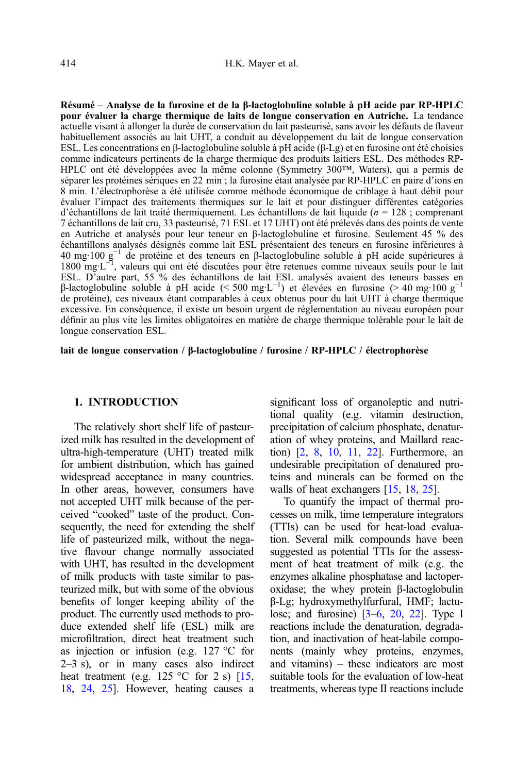actuelle visant à allonger la durée de conservation du lait pasteurisé, sans avoir les défauts de flaveur habituellement associés au lait UHT, a conduit au développement du lait de longue conservation ESL. Les concentrations en β-lactoglobuline soluble à pH acide (β-Lg) et en furosine ont été choisies comme indicateurs pertinents de la charge thermique des produits laitiers ESL. Des méthodes RP-HPLC ont été développées avec la même colonne (Symmetry 300™, Waters), qui a permis de séparer les protéines sériques en 22 min ; la furosine était analysée par RP-HPLC en paire d'ions en 8 min. L'électrophorèse a été utilisée comme méthode économique de criblage à haut débit pour évaluer l'impact des traitements thermiques sur le lait et pour distinguer différentes catégories d'échantillons de lait traité thermiquement. Les échantillons de lait liquide ( $n = 128$ ; comprenant 7 échantillons de lait cru, 33 pasteurisé, 71 ESL et 17 UHT) ont été prélevés dans des points de vente en Autriche et analysés pour leur teneur en β-lactoglobuline et furosine. Seulement 45 % des échantillons analysés désignés comme lait ESL présentaient des teneurs en furosine inférieures à 40 mg·100 g−<sup>1</sup> de protéine et des teneurs en β-lactoglobuline soluble à pH acide supérieures à 1800 mg·L<sup>-1</sup>, valeurs qui ont été discutées pour être retenues comme niveaux seuils pour le lait ESL. D'autre part, 55 % des échantillons de lait ESL analysés avaient des teneurs basses en β-lactoglobuline soluble à pH acide (< 500 mg·L<sup>-1</sup>) et élevées en furosine (> 40 mg·100 g<sup>-1</sup> de protéine), ces niveaux étant comparables à ceux obtenus pour du lait UHT à charge thermique excessive. En conséquence, il existe un besoin urgent de réglementation au niveau européen pour définir au plus vite les limites obligatoires en matière de charge thermique tolérable pour le lait de longue conservation ESL.

lait de longue conservation / β-lactoglobuline / furosine / RP-HPLC / électrophorèse

# 1. INTRODUCTION

The relatively short shelf life of pasteurized milk has resulted in the development of ultra-high-temperature (UHT) treated milk for ambient distribution, which has gained widespread acceptance in many countries. In other areas, however, consumers have not accepted UHT milk because of the perceived "cooked" taste of the product. Consequently, the need for extending the shelf life of pasteurized milk, without the negative flavour change normally associated with UHT, has resulted in the development of milk products with taste similar to pasteurized milk, but with some of the obvious benefits of longer keeping ability of the product. The currently used methods to produce extended shelf life (ESL) milk are microfiltration, direct heat treatment such as injection or infusion (e.g. 127 °C for 2–3 s), or in many cases also indirect heat treatment (e.g. 125 °C for 2 s)  $\left[15\right]$ , [18,](#page-15-0) [24](#page-15-0), [25](#page-15-0)]. However, heating causes a significant loss of organoleptic and nutritional quality (e.g. vitamin destruction, precipitation of calcium phosphate, denaturation of whey proteins, and Maillard reaction) [[2,](#page-14-0) [8](#page-14-0), [10](#page-14-0), [11](#page-15-0), [22](#page-15-0)]. Furthermore, an undesirable precipitation of denatured proteins and minerals can be formed on the walls of heat exchangers [[15,](#page-15-0) [18,](#page-15-0) [25](#page-15-0)].

To quantify the impact of thermal processes on milk, time temperature integrators (TTIs) can be used for heat-load evaluation. Several milk compounds have been suggested as potential TTIs for the assessment of heat treatment of milk (e.g. the enzymes alkaline phosphatase and lactoperoxidase; the whey protein β-lactoglobulin β-Lg; hydroxymethylfurfural, HMF; lactulose; and furosine)  $[3-6, 20, 22]$  $[3-6, 20, 22]$  $[3-6, 20, 22]$  $[3-6, 20, 22]$  $[3-6, 20, 22]$  $[3-6, 20, 22]$  $[3-6, 20, 22]$ . Type I reactions include the denaturation, degradation, and inactivation of heat-labile components (mainly whey proteins, enzymes, and vitamins) – these indicators are most suitable tools for the evaluation of low-heat treatments, whereas type II reactions include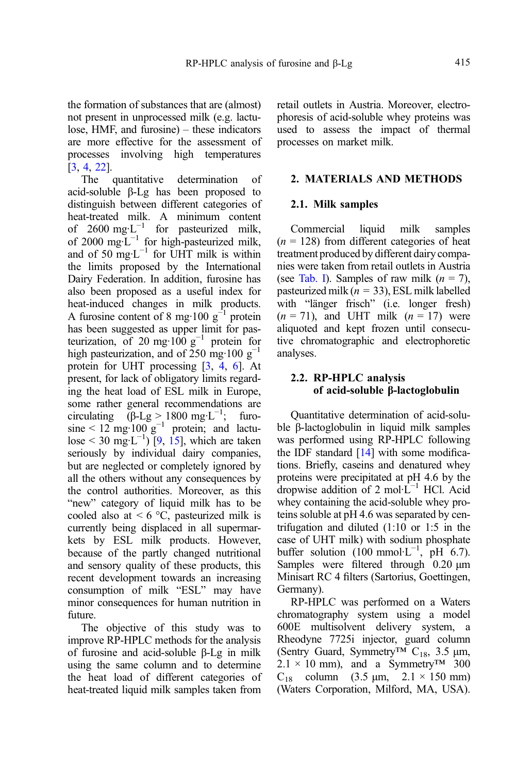the formation of substances that are (almost) not present in unprocessed milk (e.g. lactulose, HMF, and furosine) – these indicators are more effective for the assessment of processes involving high temperatures  $[3, 4, 22]$  $[3, 4, 22]$  $[3, 4, 22]$  $[3, 4, 22]$  $[3, 4, 22]$  $[3, 4, 22]$  $[3, 4, 22]$ .<br>The quantitative

The quantitative determination of acid-soluble β-Lg has been proposed to distinguish between different categories of heat-treated milk. A minimum content of 2600 mg·L<sup>-1</sup> for pasteurized milk, of 2000 mg·L−<sup>1</sup> for high-pasteurized milk, and of 50 mg⋅ $L^{-1}$  for UHT milk is within the limits proposed by the International Dairy Federation. In addition, furosine has also been proposed as a useful index for heat-induced changes in milk products. A furosine content of 8 mg·100  $g^{-1}$  protein has been suggested as upper limit for pasteurization, of 20 mg·100 g<sup>-1</sup> protein for high pasteurization, and of 250 mg·100  $g^{-1}$ protein for UHT processing [[3,](#page-14-0) [4,](#page-14-0) [6\]](#page-14-0). At present, for lack of obligatory limits regarding the heat load of ESL milk in Europe, some rather general recommendations are circulating  $(β$ -Lg > 1800 mg·L<sup>-1</sup>; furosine <  $12 \text{ mg} \cdot 100 \text{ g}^{-1}$  protein; and lactu- $\log \frac{1}{2}$  ([9,](#page-14-0) [15](#page-15-0)], which are taken seriously by individual dairy companies, but are neglected or completely ignored by all the others without any consequences by the control authorities. Moreover, as this "new" category of liquid milk has to be cooled also at  $\leq 6$  °C, pasteurized milk is currently being displaced in all supermarkets by ESL milk products. However, because of the partly changed nutritional and sensory quality of these products, this recent development towards an increasing consumption of milk "ESL" may have minor consequences for human nutrition in future.

The objective of this study was to improve RP-HPLC methods for the analysis of furosine and acid-soluble β-Lg in milk using the same column and to determine the heat load of different categories of heat-treated liquid milk samples taken from retail outlets in Austria. Moreover, electrophoresis of acid-soluble whey proteins was used to assess the impact of thermal processes on market milk.

# 2. MATERIALS AND METHODS

#### 2.1. Milk samples

Commercial liquid milk samples  $(n = 128)$  from different categories of heat treatment produced by different dairy companies were taken from retail outlets in Austria (see [Tab. I](#page-3-0)). Samples of raw milk  $(n = 7)$ , pasteurized milk ( $n = 33$ ), ESL milk labelled with "länger frisch" (i.e. longer fresh)  $(n = 71)$ , and UHT milk  $(n = 17)$  were aliquoted and kept frozen until consecutive chromatographic and electrophoretic analyses.

# 2.2. RP-HPLC analysis of acid-soluble β-lactoglobulin

Quantitative determination of acid-soluble β-lactoglobulin in liquid milk samples was performed using RP-HPLC following the IDF standard  $[14]$  $[14]$  $[14]$  with some modifications. Briefly, caseins and denatured whey proteins were precipitated at pH 4.6 by the dropwise addition of 2 mol·L−<sup>1</sup> HCl. Acid whey containing the acid-soluble whey proteins soluble at pH 4.6 was separated by centrifugation and diluted (1:10 or 1:5 in the case of UHT milk) with sodium phosphate buffer solution  $(100 \text{ mmol·L}^{-1}, \text{ pH } 6.7)$ . Samples were filtered through 0.20 μm Minisart RC 4 filters (Sartorius, Goettingen, Germany).

RP-HPLC was performed on a Waters chromatography system using a model 600E multisolvent delivery system, a Rheodyne 7725i injector, guard column (Sentry Guard, Symmetry<sup>TM</sup> C<sub>18</sub>, 3.5  $\mu$ m,  $2.1 \times 10$  mm), and a Symmetry<sup>TM</sup> 300  $C_{18}$  column (3.5 μm, 2.1 × 150 mm) (Waters Corporation, Milford, MA, USA).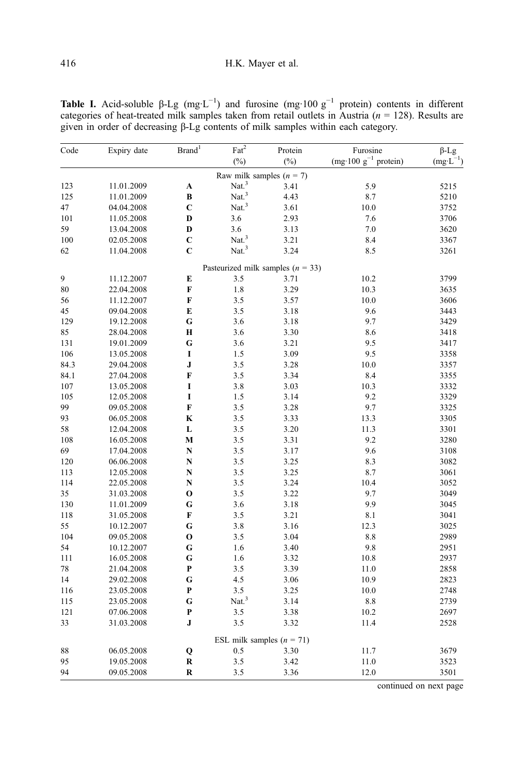| Code | Expiry date | $\mathrm{Brand}^1$ | $\text{Fact}^2$            | Protein                               | Furosine                  | $\beta$ -Lg         |
|------|-------------|--------------------|----------------------------|---------------------------------------|---------------------------|---------------------|
|      |             |                    | $(\%)$                     | $(\%)$                                | (mg·100 $g^{-1}$ protein) | $(mg \cdot L^{-1})$ |
|      |             |                    | Raw milk samples $(n = 7)$ |                                       |                           |                     |
| 123  | 11.01.2009  | A                  | Nat. $3$                   | 3.41                                  | 5.9                       | 5215                |
| 125  | 11.01.2009  | B                  | $\mathrm{Nat.}^3$          | 4.43                                  | 8.7                       | 5210                |
| 47   | 04.04.2008  | C                  | Nat. <sup>3</sup>          | 3.61                                  | $10.0\,$                  | 3752                |
| 101  | 11.05.2008  | D                  | 3.6                        | 2.93                                  | 7.6                       | 3706                |
| 59   | 13.04.2008  | D                  | 3.6                        | 3.13                                  | 7.0                       | 3620                |
| 100  | 02.05.2008  | $\mathbf C$        | Nat. $3$                   | 3.21                                  | 8.4                       | 3367                |
| 62   | 11.04.2008  | $\mathbf C$        | $\mathrm{Nat.}^3$          | 3.24                                  | 8.5                       | 3261                |
|      |             |                    |                            | Pasteurized milk samples ( $n = 33$ ) |                           |                     |
| 9    | 11.12.2007  | E                  | 3.5                        | 3.71                                  | 10.2                      | 3799                |
| 80   | 22.04.2008  | F                  | 1.8                        | 3.29                                  | 10.3                      | 3635                |
| 56   | 11.12.2007  | F                  | 3.5                        | 3.57                                  | 10.0                      | 3606                |
| 45   | 09.04.2008  | E                  | 3.5                        | 3.18                                  | 9.6                       | 3443                |
| 129  | 19.12.2008  | G                  | 3.6                        | 3.18                                  | 9.7                       | 3429                |
| 85   | 28.04.2008  | H                  | 3.6                        | 3.30                                  | 8.6                       | 3418                |
| 131  | 19.01.2009  | G                  | 3.6                        | 3.21                                  | 9.5                       | 3417                |
| 106  | 13.05.2008  | I                  | 1.5                        | 3.09                                  | 9.5                       | 3358                |
| 84.3 | 29.04.2008  | J                  | 3.5                        | 3.28                                  | 10.0                      | 3357                |
| 84.1 | 27.04.2008  | F                  | 3.5                        | 3.34                                  | 8.4                       | 3355                |
| 107  | 13.05.2008  | I                  | 3.8                        | 3.03                                  | 10.3                      | 3332                |
| 105  | 12.05.2008  | I                  | 1.5                        | 3.14                                  | 9.2                       | 3329                |
| 99   | 09.05.2008  | F                  | 3.5                        | 3.28                                  | 9.7                       | 3325                |
| 93   | 06.05.2008  | K                  | 3.5                        | 3.33                                  | 13.3                      | 3305                |
| 58   | 12.04.2008  | L                  | 3.5                        | 3.20                                  | 11.3                      | 3301                |
| 108  | 16.05.2008  | M                  | 3.5                        | 3.31                                  | 9.2                       | 3280                |
| 69   | 17.04.2008  | N                  | 3.5                        | 3.17                                  | 9.6                       | 3108                |
| 120  | 06.06.2008  | N                  | 3.5                        | 3.25                                  | 8.3                       | 3082                |
| 113  | 12.05.2008  | N                  | 3.5                        | 3.25                                  | 8.7                       | 3061                |
| 114  | 22.05.2008  | N                  | 3.5                        | 3.24                                  | 10.4                      | 3052                |
| 35   | 31.03.2008  | $\mathbf{o}$       | 3.5                        | 3.22                                  | 9.7                       | 3049                |
| 130  | 11.01.2009  | G                  | 3.6                        | 3.18                                  | 9.9                       | 3045                |
| 118  | 31.05.2008  | F                  | 3.5                        | 3.21                                  | 8.1                       | 3041                |
| 55   | 10.12.2007  | G                  | 3.8                        | 3.16                                  | 12.3                      | 3025                |
| 104  | 09.05.2008  | $\mathbf{o}$       | 3.5                        | 3.04                                  | 8.8                       | 2989                |
| 54   | 10.12.2007  | G                  | 1.6                        | 3.40                                  | 9.8                       | 2951                |
| 111  | 16.05.2008  | G                  | 1.6                        | 3.32                                  | 10.8                      | 2937                |
| 78   | 21.04.2008  | P                  | 3.5                        | 3.39                                  | 11.0                      | 2858                |
| 14   | 29.02.2008  | G                  | 4.5                        | 3.06                                  | 10.9                      | 2823                |
| 116  | 23.05.2008  | P                  | 3.5                        | 3.25                                  | 10.0                      | 2748                |
| 115  | 23.05.2008  | G                  | Nat. <sup>3</sup>          | 3.14                                  | 8.8                       | 2739                |
| 121  | 07.06.2008  | P                  | 3.5                        | 3.38                                  | 10.2                      | 2697                |
| 33   | 31.03.2008  | J                  | 3.5                        | 3.32                                  | 11.4                      | 2528                |
|      |             |                    |                            | ESL milk samples $(n = 71)$           |                           |                     |
| 88   | 06.05.2008  | Q                  | 0.5                        | 3.30                                  | 11.7                      | 3679                |
| 95   | 19.05.2008  | R                  | 3.5                        | 3.42                                  | 11.0                      | 3523                |
| 94   | 09.05.2008  | R                  | 3.5                        | 3.36                                  | 12.0                      | 3501                |

<span id="page-3-0"></span>Table I. Acid-soluble  $\beta$ -Lg (mg·L<sup>-1</sup>) and furosine (mg·100 g<sup>-1</sup> protein) contents in different categories of heat-treated milk samples taken from retail outlets in Austria  $(n = 128)$ . Results are given in order of decreasing β-Lg contents of milk samples within each category.

continued on next page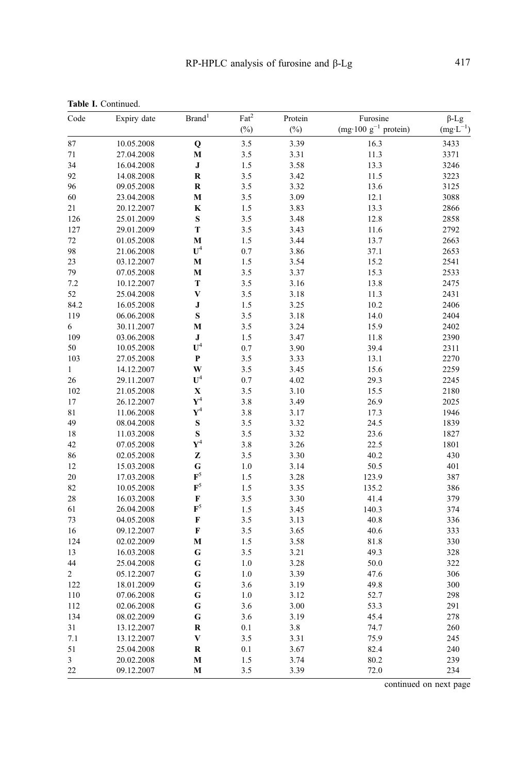| Code           | Expiry date | Brand <sup>1</sup> | $\overline{\text{Fat}^2}$ | Protein | Furosine<br>(mg·100 $g^{-1}$ protein) | $\beta$ -Lg         |
|----------------|-------------|--------------------|---------------------------|---------|---------------------------------------|---------------------|
|                |             |                    | $(\%)$                    | $(\%)$  |                                       | $(mg \cdot L^{-1})$ |
| 87             | 10.05.2008  | Q                  | 3.5                       | 3.39    | 16.3                                  | 3433                |
| 71             | 27.04.2008  | M                  | 3.5                       | 3.31    | 11.3                                  | 3371                |
| 34             | 16.04.2008  | J                  | 1.5                       | 3.58    | 13.3                                  | 3246                |
| 92             | 14.08.2008  | $\bf{R}$           | 3.5                       | 3.42    | 11.5                                  | 3223                |
| 96             | 09.05.2008  | $\bf R$            | 3.5                       | 3.32    | 13.6                                  | 3125                |
| 60             | 23.04.2008  | M                  | 3.5                       | 3.09    | 12.1                                  | 3088                |
| 21             | 20.12.2007  | $\mathbf K$        | 1.5                       | 3.83    | 13.3                                  | 2866                |
| 126            | 25.01.2009  | S                  | 3.5                       | 3.48    | 12.8                                  | 2858                |
| 127            | 29.01.2009  | T                  | 3.5                       | 3.43    | 11.6                                  | 2792                |
| 72             | 01.05.2008  | M                  | 1.5                       | 3.44    | 13.7                                  | 2663                |
| 98             | 21.06.2008  | $\mathbf{U}^4$     | 0.7                       | 3.86    | 37.1                                  | 2653                |
| 23             | 03.12.2007  | M                  | 1.5                       | 3.54    | 15.2                                  | 2541                |
| 79             | 07.05.2008  | M                  | 3.5                       | 3.37    | 15.3                                  | 2533                |
| 7.2            | 10.12.2007  | T                  | 3.5                       | 3.16    | 13.8                                  | 2475                |
| 52             | 25.04.2008  | V                  | 3.5                       | 3.18    | 11.3                                  | 2431                |
| 84.2           | 16.05.2008  | J                  | 1.5                       | 3.25    | 10.2                                  | 2406                |
| 119            | 06.06.2008  | $\bf{s}$           | 3.5                       | 3.18    | 14.0                                  | 2404                |
| 6              | 30.11.2007  | M                  | 3.5                       | 3.24    | 15.9                                  | 2402                |
| 109            | 03.06.2008  | ${\bf J}$          | 1.5                       | 3.47    | 11.8                                  | 2390                |
| 50             | 10.05.2008  | $U^4$              | 0.7                       | 3.90    | 39.4                                  | 2311                |
| 103            | 27.05.2008  | $\bf{P}$           | 3.5                       | 3.33    | 13.1                                  | 2270                |
| $\mathbf{1}$   | 14.12.2007  | W                  | 3.5                       | 3.45    | 15.6                                  | 2259                |
| 26             | 29.11.2007  | $U^4$              | 0.7                       | 4.02    | 29.3                                  | 2245                |
| 102            | 21.05.2008  | X                  | 3.5                       | 3.10    | 15.5                                  | 2180                |
| 17             | 26.12.2007  | ${\bf Y}^4$        | 3.8                       | 3.49    | 26.9                                  | 2025                |
| 81             | 11.06.2008  | $\mathbf{Y}^4$     | 3.8                       | 3.17    | 17.3                                  | 1946                |
| 49             | 08.04.2008  | $\bf{s}$           | 3.5                       | 3.32    | 24.5                                  | 1839                |
| 18             | 11.03.2008  | $\bf{s}$           | 3.5                       | 3.32    | 23.6                                  | 1827                |
| 42             | 07.05.2008  | ${\bf Y}^4$        | 3.8                       | 3.26    | 22.5                                  | 1801                |
| 86             | 02.05.2008  | Z                  | 3.5                       | 3.30    | 40.2                                  | 430                 |
| 12             | 15.03.2008  | G                  | 1.0                       | 3.14    | 50.5                                  | 401                 |
| 20             | 17.03.2008  | $\mathbf{F}^5$     | 1.5                       | 3.28    | 123.9                                 | 387                 |
| 82             | 10.05.2008  | $\mathbf{F}^5$     | 1.5                       | 3.35    | 135.2                                 | 386                 |
| 28             | 16.03.2008  | F                  | 3.5                       | 3.30    | 41.4                                  | 379                 |
| 61             | 26.04.2008  | $\mathbf{F}^5$     | 1.5                       | 3.45    | 140.3                                 | 374                 |
| 73             | 04.05.2008  | F                  | 3.5                       | 3.13    | 40.8                                  | 336                 |
| 16             | 09.12.2007  | F                  | 3.5                       | 3.65    | 40.6                                  | 333                 |
| 124            | 02.02.2009  | M                  | 1.5                       | 3.58    | 81.8                                  | 330                 |
| 13             | 16.03.2008  | G                  | 3.5                       | 3.21    | 49.3                                  | 328                 |
| 44             | 25.04.2008  | G                  | 1.0                       | 3.28    | 50.0                                  | 322                 |
| $\overline{c}$ | 05.12.2007  | G                  | 1.0                       | 3.39    | 47.6                                  | 306                 |
| 122            | 18.01.2009  | G                  | 3.6                       | 3.19    | 49.8                                  | 300                 |
| 110            | 07.06.2008  | G                  | 1.0                       | 3.12    | 52.7                                  | 298                 |
| 112            | 02.06.2008  | G                  | 3.6                       | 3.00    | 53.3                                  | 291                 |
| 134            | 08.02.2009  | G                  | 3.6                       | 3.19    | 45.4                                  | 278                 |
| 31             | 13.12.2007  | $\bf R$            | 0.1                       | 3.8     | 74.7                                  | 260                 |
| 7.1            | 13.12.2007  | V                  | 3.5                       | 3.31    | 75.9                                  | 245                 |
| 51             | 25.04.2008  | $\bf R$            | 0.1                       | 3.67    | 82.4                                  | 240                 |
| 3              | 20.02.2008  | М                  | 1.5                       | 3.74    | 80.2                                  | 239                 |
| 22             | 09.12.2007  | M                  | 3.5                       | 3.39    | 72.0                                  | 234                 |
|                |             |                    |                           |         |                                       |                     |

continued on next page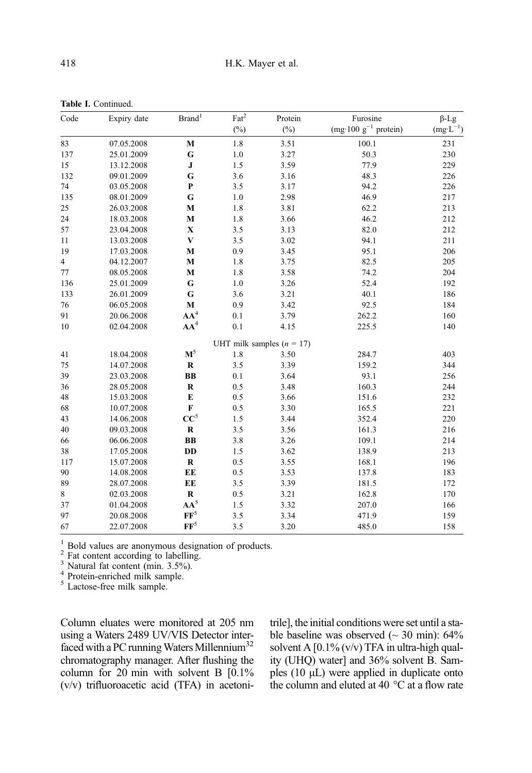| Code           | Expiry date | $\mathrm{Brand}^1$ | $\text{Fact}^2$ | Protein                     | Furosine                  | $\beta$ -Lg         |
|----------------|-------------|--------------------|-----------------|-----------------------------|---------------------------|---------------------|
|                |             |                    | $(\%)$          | $(\%)$                      | (mg·100 $g^{-1}$ protein) | $(mg \cdot L^{-1})$ |
| 83             | 07.05.2008  | $\mathbf M$        | 1.8             | 3.51                        | 100.1                     | 231                 |
| 137            | 25.01.2009  | G                  | 1.0             | 3.27                        | 50.3                      | 230                 |
| 15             | 13.12.2008  | ${\bf J}$          | 1.5             | 3.59                        | 77.9                      | 229                 |
| 132            | 09.01.2009  | G                  | 3.6             | 3.16                        | 48.3                      | 226                 |
| 74             | 03.05.2008  | $\mathbf P$        | 3.5             | 3.17                        | 94.2                      | 226                 |
| 135            | 08.01.2009  | G                  | 1.0             | 2.98                        | 46.9                      | 217                 |
| 25             | 26.03.2008  | $\mathbf M$        | 1.8             | 3.81                        | 62.2                      | 213                 |
| 24             | 18.03.2008  | $\mathbf M$        | 1.8             | 3.66                        | 46.2                      | 212                 |
| 57             | 23.04.2008  | $\mathbf X$        | 3.5             | 3.13                        | 82.0                      | 212                 |
| 11             | 13.03.2008  | $\mathbf{V}$       | 3.5             | 3.02                        | 94.1                      | 211                 |
| 19             | 17.03.2008  | M                  | 0.9             | 3.45                        | 95.1                      | 206                 |
| $\overline{4}$ | 04.12.2007  | M                  | 1.8             | 3.75                        | 82.5                      | 205                 |
| 77             | 08.05.2008  | M                  | 1.8             | 3.58                        | 74.2                      | 204                 |
| 136            | 25.01.2009  | G                  | 1.0             | 3.26                        | 52.4                      | 192                 |
| 133            | 26.01.2009  | G                  | 3.6             | 3.21                        | 40.1                      | 186                 |
| 76             | 06.05.2008  | $\mathbf M$        | 0.9             | 3.42                        | 92.5                      | 184                 |
| 91             | 20.06.2008  | $AA^4$             | 0.1             | 3.79                        | 262.2                     | 160                 |
| 10             | 02.04.2008  | AA <sup>4</sup>    | 0.1             | 4.15                        | 225.5                     | 140                 |
|                |             |                    |                 | UHT milk samples $(n = 17)$ |                           |                     |
| 41             | 18.04.2008  | $\mathbf{M}^5$     | 1.8             | 3.50                        | 284.7                     | 403                 |
| 75             | 14.07.2008  | ${\bf R}$          | 3.5             | 3.39                        | 159.2                     | 344                 |
| 39             | 23.03.2008  | BB                 | 0.1             | 3.64                        | 93.1                      | 256                 |
| 36             | 28.05.2008  | $\mathbf R$        | 0.5             | 3.48                        | 160.3                     | 244                 |
| 48             | 15.03.2008  | E                  | 0.5             | 3.66                        | 151.6                     | 232                 |
| 68             | 10.07.2008  | F                  | 0.5             | 3.30                        | 165.5                     | 221                 |
| 43             | 14.06.2008  | $CC^5$             | 1.5             | 3.44                        | 352.4                     | 220                 |
| 40             | 09.03.2008  | $\mathbf R$        | 3.5             | 3.56                        | 161.3                     | 216                 |
| 66             | 06.06.2008  | BB                 | 3.8             | 3.26                        | 109.1                     | 214                 |
| 38             | 17.05.2008  | DD                 | 1.5             | 3.62                        | 138.9                     | 213                 |
| 117            | 15.07.2008  | ${\bf R}$          | 0.5             | 3.55                        | 168.1                     | 196                 |
| 90             | 14.08.2008  | EE                 | 0.5             | 3.53                        | 137.8                     | 183                 |
| 89             | 28.07.2008  | EE                 | 3.5             | 3.39                        | 181.5                     | 172                 |
| 8              | 02.03.2008  | $\mathbf R$        | 0.5             | 3.21                        | 162.8                     | 170                 |
| 37             | 01.04.2008  | $AA^5$             | 1.5             | 3.32                        | 207.0                     | 166                 |
| 97             | 20.08.2008  | $\mathbf{FF}^5$    | 3.5             | 3.34                        | 471.9                     | 159                 |

67 22.07.2008 FF<sup>5</sup> 3.5 3.20 485.0 158

<span id="page-5-0"></span>Table I. Continued.

<sup>1</sup> Bold values are anonymous designation of products. <sup>2</sup> Fat content according to labelling.<br><sup>3</sup> Natural fat content (min. 3.5%).  $4$  Protein-enriched milk sample.  $5$  Lactose-free milk sample.

Column eluates were monitored at 205 nm using a Waters 2489 UV/VIS Detector interfaced with a PC running Waters Millennium<sup>32</sup> chromatography manager. After flushing the column for 20 min with solvent B [0.1% (v/v) trifluoroacetic acid (TFA) in acetonitrile], the initial conditions were set until a stable baseline was observed  $\sim$  30 min): 64% solvent A  $[0.1\%$  (v/v) TFA in ultra-high quality (UHQ) water] and 36% solvent B. Samples (10 μL) were applied in duplicate onto the column and eluted at 40 °C at a flow rate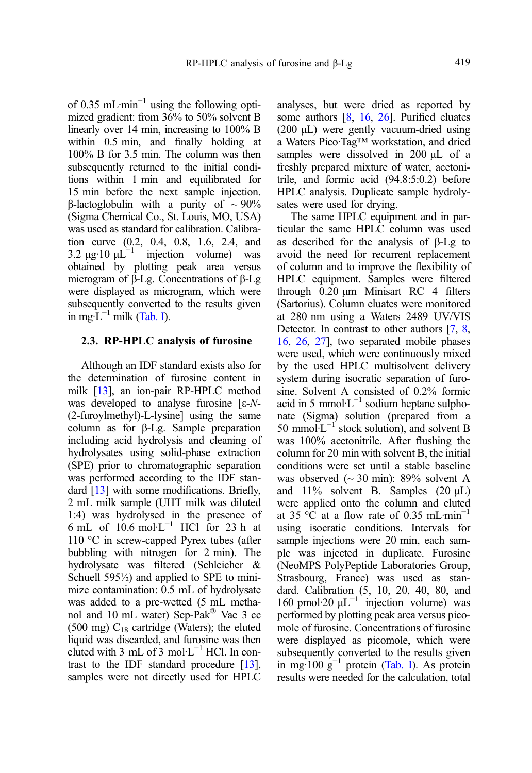of 0.35 mL·min−<sup>1</sup> using the following optimized gradient: from 36% to 50% solvent B linearly over 14 min, increasing to 100% B within 0.5 min, and finally holding at 100% B for 3.5 min. The column was then subsequently returned to the initial conditions within 1 min and equilibrated for 15 min before the next sample injection. β-lactoglobulin with a purity of  $\sim$  90% (Sigma Chemical Co., St. Louis, MO, USA) was used as standard for calibration. Calibration curve (0.2, 0.4, 0.8, 1.6, 2.4, and 3.2 μg·10  $\mu L^{-1}$  injection volume) was obtained by plotting peak area versus microgram of β-Lg. Concentrations of β-Lg were displayed as microgram, which were subsequently converted to the results given in mg· $\tilde{L}^{-1}$  milk ([Tab. I\)](#page-3-0).

# 2.3. RP-HPLC analysis of furosine

Although an IDF standard exists also for the determination of furosine content in milk [\[13](#page-15-0)], an ion-pair RP-HPLC method was developed to analyse furosine  $[\varepsilon-N-$ (2-furoylmethyl)-L-lysine] using the same column as for β-Lg. Sample preparation including acid hydrolysis and cleaning of hydrolysates using solid-phase extraction (SPE) prior to chromatographic separation was performed according to the IDF stan-dard [\[13\]](#page-15-0) with some modifications. Briefly, 2 mL milk sample (UHT milk was diluted 1:4) was hydrolysed in the presence of 6 mL of  $10.6$  mol·L<sup>-1</sup> HCl for 23 h at 110 °C in screw-capped Pyrex tubes (after bubbling with nitrogen for 2 min). The hydrolysate was filtered (Schleicher & Schuell 595½) and applied to SPE to minimize contamination: 0.5 mL of hydrolysate was added to a pre-wetted (5 mL methanol and 10 mL water) Sep-Pak® Vac 3 cc (500 mg)  $C_{18}$  cartridge (Waters); the eluted liquid was discarded, and furosine was then eluted with 3 mL of 3 mol⋅L<sup>-1</sup> HCl. In contrast to the IDF standard procedure [\[13](#page-15-0)], samples were not directly used for HPLC

analyses, but were dried as reported by some authors [\[8](#page-14-0), [16,](#page-15-0) [26](#page-15-0)]. Purified eluates (200 μL) were gently vacuum-dried using a Waters Pico·Tag™ workstation, and dried samples were dissolved in 200 μL of a freshly prepared mixture of water, acetonitrile, and formic acid (94.8:5:0.2) before HPLC analysis. Duplicate sample hydrolysates were used for drying.

The same HPLC equipment and in particular the same HPLC column was used as described for the analysis of β-Lg to avoid the need for recurrent replacement of column and to improve the flexibility of HPLC equipment. Samples were filtered through 0.20 μm Minisart RC 4 filters (Sartorius). Column eluates were monitored at 280 nm using a Waters 2489 UV/VIS Detector. In contrast to other authors [[7,](#page-14-0) [8](#page-14-0), [16](#page-15-0), [26](#page-15-0), [27\]](#page-15-0), two separated mobile phases were used, which were continuously mixed by the used HPLC multisolvent delivery system during isocratic separation of furosine. Solvent A consisted of 0.2% formic acid in 5 mmol⋅ $L^{-1}$  sodium heptane sulphonate (Sigma) solution (prepared from a 50 mmol⋅ $L^{-1}$  stock solution), and solvent B was 100% acetonitrile. After flushing the column for 20 min with solvent B, the initial conditions were set until a stable baseline was observed  $\sim$  30 min): 89% solvent A and  $11\%$  solvent B. Samples  $(20 \mu L)$ were applied onto the column and eluted at 35 °C at a flow rate of 0.35 mL·min<sup>-1</sup> using isocratic conditions. Intervals for sample injections were 20 min, each sample was injected in duplicate. Furosine (NeoMPS PolyPeptide Laboratories Group, Strasbourg, France) was used as standard. Calibration (5, 10, 20, 40, 80, and 160 pmol·20  $μL^{-1}$  injection volume) was performed by plotting peak area versus picomole of furosine. Concentrations of furosine were displayed as picomole, which were subsequently converted to the results given in mg·100 g<sup>-1</sup> protein ([Tab. I](#page-3-0)). As protein results were needed for the calculation, total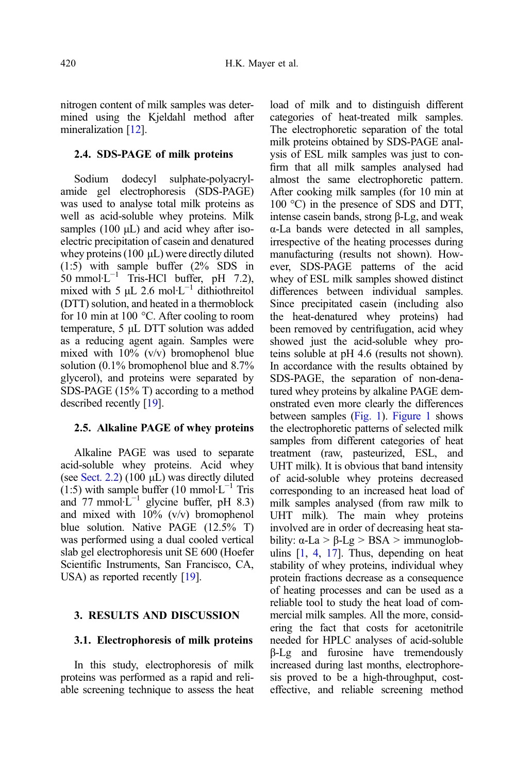nitrogen content of milk samples was determined using the Kjeldahl method after mineralization [\[12\]](#page-15-0).

#### 2.4. SDS-PAGE of milk proteins

Sodium dodecyl sulphate-polyacrylamide gel electrophoresis (SDS-PAGE) was used to analyse total milk proteins as well as acid-soluble whey proteins. Milk samples  $(100 \mu L)$  and acid whey after isoelectric precipitation of casein and denatured whey proteins (100 μL) were directly diluted (1:5) with sample buffer (2% SDS in  $50 \text{ mmol·L}^{-1}$  Tris-HCl buffer, pH 7.2), mixed with 5  $\mu$ L 2.6 mol·L<sup>-1</sup> dithiothreitol (DTT) solution, and heated in a thermoblock for 10 min at 100 °C. After cooling to room temperature, 5 μL DTT solution was added as a reducing agent again. Samples were mixed with  $10\%$  (v/v) bromophenol blue solution (0.1% bromophenol blue and 8.7% glycerol), and proteins were separated by SDS-PAGE (15% T) according to a method described recently [\[19\]](#page-15-0).

# 2.5. Alkaline PAGE of whey proteins

Alkaline PAGE was used to separate acid-soluble whey proteins. Acid whey (see Sect. 2.2) (100 μL) was directly diluted (1:5) with sample buffer (10 mmol⋅L<sup>-1</sup> Tris and  $77$  mmol⋅L<sup>-1</sup> glycine buffer, pH 8.3) and mixed with  $10\%$  (v/v) bromophenol blue solution. Native PAGE (12.5% T) was performed using a dual cooled vertical slab gel electrophoresis unit SE 600 (Hoefer Scientific Instruments, San Francisco, CA, USA) as reported recently [\[19](#page-15-0)].

#### 3. RESULTS AND DISCUSSION

# 3.1. Electrophoresis of milk proteins

In this study, electrophoresis of milk proteins was performed as a rapid and reliable screening technique to assess the heat load of milk and to distinguish different categories of heat-treated milk samples. The electrophoretic separation of the total milk proteins obtained by SDS-PAGE analysis of ESL milk samples was just to confirm that all milk samples analysed had almost the same electrophoretic pattern. After cooking milk samples (for 10 min at 100 °C) in the presence of SDS and DTT, intense casein bands, strong β-Lg, and weak α-La bands were detected in all samples, irrespective of the heating processes during manufacturing (results not shown). However, SDS-PAGE patterns of the acid whey of ESL milk samples showed distinct differences between individual samples. Since precipitated casein (including also the heat-denatured whey proteins) had been removed by centrifugation, acid whey showed just the acid-soluble whey proteins soluble at pH 4.6 (results not shown). In accordance with the results obtained by SDS-PAGE, the separation of non-denatured whey proteins by alkaline PAGE demonstrated even more clearly the differences between samples ([Fig. 1\)](#page-8-0). [Figure 1](#page-8-0) shows the electrophoretic patterns of selected milk samples from different categories of heat treatment (raw, pasteurized, ESL, and UHT milk). It is obvious that band intensity of acid-soluble whey proteins decreased corresponding to an increased heat load of milk samples analysed (from raw milk to UHT milk). The main whey proteins involved are in order of decreasing heat stability:  $\alpha$ -La > β-Lg > BSA > immunoglobulins  $[1, 4, 17]$  $[1, 4, 17]$  $[1, 4, 17]$  $[1, 4, 17]$  $[1, 4, 17]$  $[1, 4, 17]$ . Thus, depending on heat stability of whey proteins, individual whey protein fractions decrease as a consequence of heating processes and can be used as a reliable tool to study the heat load of commercial milk samples. All the more, considering the fact that costs for acetonitrile needed for HPLC analyses of acid-soluble β-Lg and furosine have tremendously increased during last months, electrophoresis proved to be a high-throughput, costeffective, and reliable screening method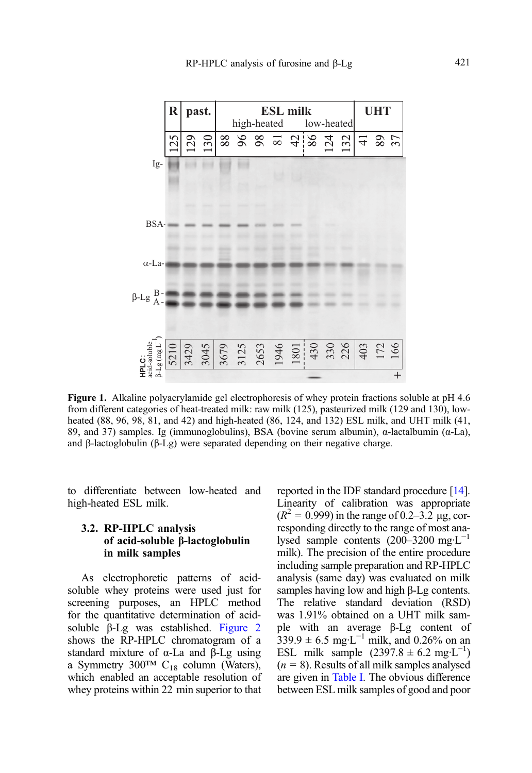<span id="page-8-0"></span>

Figure 1. Alkaline polyacrylamide gel electrophoresis of whey protein fractions soluble at pH 4.6 from different categories of heat-treated milk: raw milk (125), pasteurized milk (129 and 130), lowheated (88, 96, 98, 81, and 42) and high-heated (86, 124, and 132) ESL milk, and UHT milk (41, 89, and 37) samples. Ig (immunoglobulins), BSA (bovine serum albumin),  $\alpha$ -lactalbumin ( $\alpha$ -La), and β-lactoglobulin (β-Lg) were separated depending on their negative charge.

to differentiate between low-heated and high-heated ESL milk.

# 3.2. RP-HPLC analysis of acid-soluble β-lactoglobulin in milk samples

As electrophoretic patterns of acidsoluble whey proteins were used just for screening purposes, an HPLC method for the quantitative determination of acidsoluble β-Lg was established. [Figure 2](#page-9-0) shows the RP-HPLC chromatogram of a standard mixture of α-La and β-Lg using a Symmetry 300<sup>TM</sup> C<sub>18</sub> column (Waters), which enabled an acceptable resolution of whey proteins within 22 min superior to that reported in the IDF standard procedure [[14](#page-15-0)]. Linearity of calibration was appropriate  $(R^{2} = 0.999)$  in the range of 0.2–3.2 µg, corresponding directly to the range of most analysed sample contents (200–3200 mg·L−<sup>1</sup> milk). The precision of the entire procedure including sample preparation and RP-HPLC analysis (same day) was evaluated on milk samples having low and high β-Lg contents. The relative standard deviation (RSD) was 1.91% obtained on a UHT milk sample with an average β-Lg content of  $339.9 \pm 6.5$  mg·L<sup>-1</sup> milk, and 0.26% on an ESL milk sample  $(2397.8 \pm 6.2 \text{ mg} \cdot \text{L}^{-1})$  $(n = 8)$ . Results of all milk samples analysed are given in [Table I](#page-3-0). The obvious difference between ESL milk samples of good and poor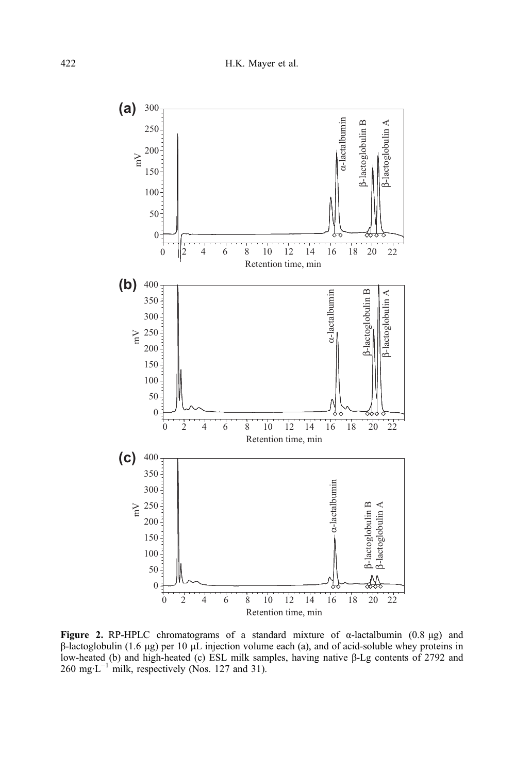<span id="page-9-0"></span>

Figure 2. RP-HPLC chromatograms of a standard mixture of  $α$ -lactalbumin (0.8 μg) and β-lactoglobulin (1.6 μg) per 10 μL injection volume each (a), and of acid-soluble whey proteins in low-heated (b) and high-heated (c) ESL milk samples, having native β-Lg contents of 2792 and 260 mg·L−<sup>1</sup> milk, respectively (Nos. 127 and 31).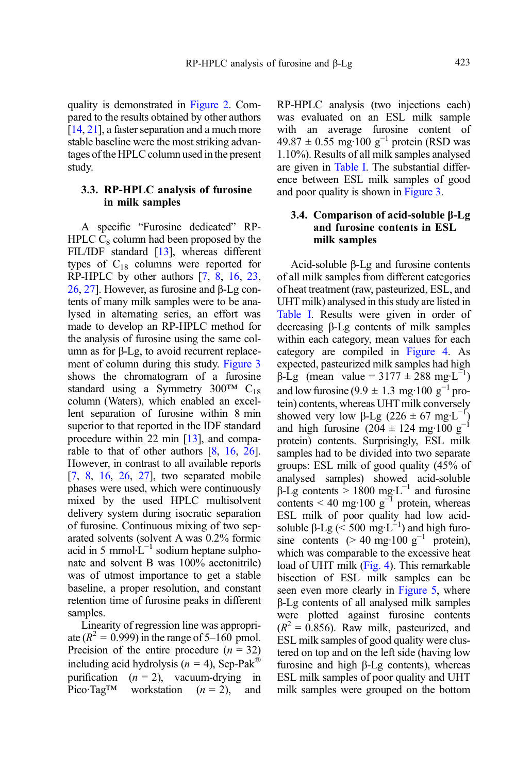quality is demonstrated in [Figure 2](#page-9-0). Compared to the results obtained by other authors [[14](#page-15-0), [21](#page-15-0)], a faster separation and a much more stable baseline were the most striking advantages of the HPLC column used in the present study.

# 3.3. RP-HPLC analysis of furosine in milk samples

A specific "Furosine dedicated" RP-HPLC  $C_8$  column had been proposed by the FIL/IDF standard [\[13\]](#page-15-0), whereas different types of  $C_{18}$  columns were reported for RP-HPLC by other authors [[7](#page-14-0), [8](#page-14-0), [16,](#page-15-0) [23](#page-15-0), [26](#page-15-0), [27\]](#page-15-0). However, as furosine and β-Lg contents of many milk samples were to be analysed in alternating series, an effort was made to develop an RP-HPLC method for the analysis of furosine using the same column as for β-Lg, to avoid recurrent replacement of column during this study. [Figure 3](#page-11-0) shows the chromatogram of a furosine standard using a Symmetry  $300^{TM}$  C<sub>18</sub> column (Waters), which enabled an excellent separation of furosine within 8 min superior to that reported in the IDF standard procedure within 22 min [\[13\]](#page-15-0), and comparable to that of other authors [\[8,](#page-14-0) [16](#page-15-0), [26](#page-15-0)]. However, in contrast to all available reports [[7](#page-14-0), [8,](#page-14-0) [16](#page-15-0), [26](#page-15-0), [27\]](#page-15-0), two separated mobile phases were used, which were continuously mixed by the used HPLC multisolvent delivery system during isocratic separation of furosine. Continuous mixing of two separated solvents (solvent A was 0.2% formic acid in 5 mmol· $L^{-1}$  sodium heptane sulphonate and solvent B was 100% acetonitrile) was of utmost importance to get a stable baseline, a proper resolution, and constant retention time of furosine peaks in different samples.

Linearity of regression line was appropriate ( $R^2$  = 0.999) in the range of 5–160 pmol. Precision of the entire procedure  $(n = 32)$ including acid hydrolysis ( $n = 4$ ), Sep-Pak<sup>®</sup> purification  $(n = 2)$ , vacuum-drying in Pico·Tag<sup>TM</sup> workstation  $(n = 2)$ , and RP-HPLC analysis (two injections each) was evaluated on an ESL milk sample with an average furosine content of  $49.87 \pm 0.55$  mg·100 g<sup>-1</sup> protein (RSD was 1.10%). Results of all milk samples analysed are given in [Table I.](#page-3-0) The substantial difference between ESL milk samples of good and poor quality is shown in [Figure 3.](#page-11-0)

# 3.4. Comparison of acid-soluble β-Lg and furosine contents in ESL milk samples

Acid-soluble β-Lg and furosine contents of all milk samples from different categories of heat treatment (raw, pasteurized, ESL, and UHT milk) analysed in this study are listed in [Table I.](#page-3-0) Results were given in order of decreasing β-Lg contents of milk samples within each category, mean values for each category are compiled in [Figure 4](#page-12-0). As expected, pasteurized milk samples had high  $β$ -Lg (mean value = 3177 ± 288 mg·L<sup>-1</sup>) and low furosine (9.9  $\pm$  1.3 mg·100 g<sup>-1</sup> protein) contents, whereas UHT milk conversely showed very low β-Lg (226  $\pm$  67 mg·L<sup>-1</sup>) and high furosine (204 ± 124 mg·100 g<sup>-1</sup> protein) contents. Surprisingly, ESL milk samples had to be divided into two separate groups: ESL milk of good quality (45% of analysed samples) showed acid-soluble  $β$ -Lg contents > 1800 mg⋅L<sup>-1</sup> and furosine contents < 40 mg·100  $g^{-1}$  protein, whereas ESL milk of poor quality had low acidsoluble β-Lg ( $\leq 500 \text{ mg} \cdot \text{L}^{-1}$ ) and high furosine contents (> 40 mg·100 g<sup>-1</sup> protein), which was comparable to the excessive heat load of UHT milk [\(Fig. 4\)](#page-12-0). This remarkable bisection of ESL milk samples can be seen even more clearly in [Figure 5](#page-12-0), where β-Lg contents of all analysed milk samples were plotted against furosine contents  $(R^2 = 0.856)$ . Raw milk, pasteurized, and ESL milk samples of good quality were clustered on top and on the left side (having low furosine and high β-Lg contents), whereas ESL milk samples of poor quality and UHT milk samples were grouped on the bottom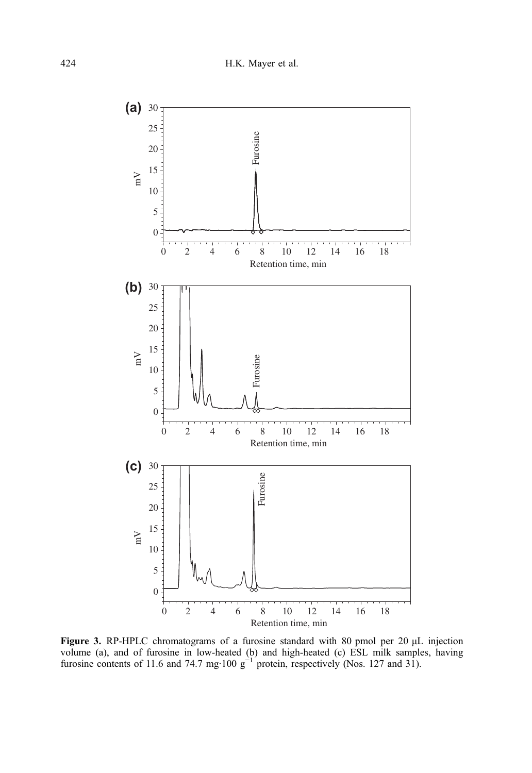<span id="page-11-0"></span>

Figure 3. RP-HPLC chromatograms of a furosine standard with 80 pmol per 20 μL injection volume (a), and of furosine in low-heated (b) and high-heated (c) ESL milk samples, having furosine contents of 11.6 and 74.7 mg·100  $g^{-1}$  protein, respectively (Nos. 127 and 31).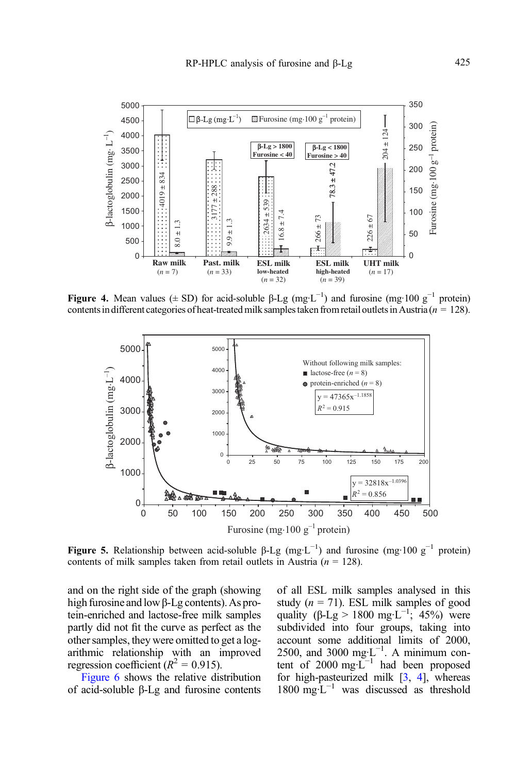<span id="page-12-0"></span>

Figure 4. Mean values ( $\pm$  SD) for acid-soluble β-Lg (mg·L<sup>-1</sup>) and furosine (mg·100 g<sup>-1</sup> protein) contents in different categories of heat-treated milk samples taken from retail outlets in Austria ( $n = 128$ ).



Figure 5. Relationship between acid-soluble β-Lg (mg·L<sup>-1</sup>) and furosine (mg·100 g<sup>-1</sup> protein) contents of milk samples taken from retail outlets in Austria ( $n = 128$ ).

and on the right side of the graph (showing high furosine and lowβ-Lg contents). As protein-enriched and lactose-free milk samples partly did not fit the curve as perfect as the other samples, they were omitted to get a logarithmic relationship with an improved regression coefficient ( $R^2 = 0.915$ ).

[Figure 6](#page-13-0) shows the relative distribution of acid-soluble β-Lg and furosine contents of all ESL milk samples analysed in this study ( $n = 71$ ). ESL milk samples of good quality ( $\beta$ -Lg > 1800 mg·L<sup>-1</sup>; 45%) were subdivided into four groups, taking into account some additional limits of 2000, 2500, and 3000 mg·L<sup>-1</sup>. A minimum content of 2000 mg· $L^{-1}$  had been proposed for high-pasteurized milk [[3](#page-14-0), [4\]](#page-14-0), whereas 1800 mg·L−<sup>1</sup> was discussed as threshold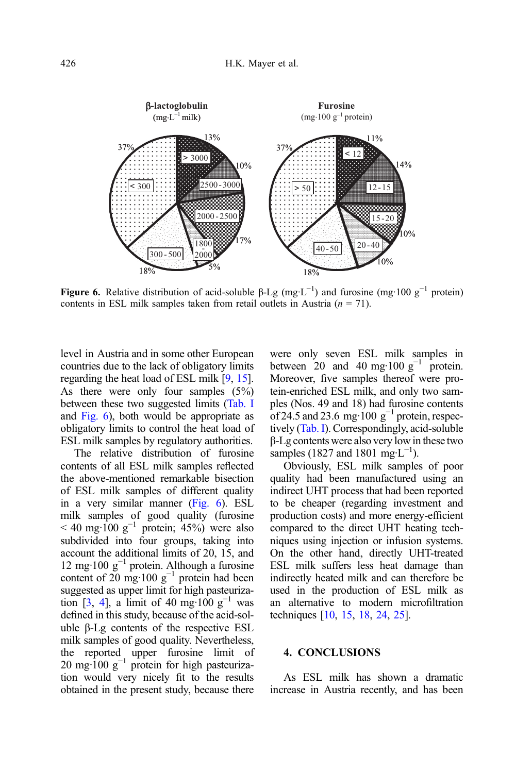<span id="page-13-0"></span>

**Figure 6.** Relative distribution of acid-soluble β-Lg (mg·L<sup>-1</sup>) and furosine (mg·100  $g^{-1}$  protein) contents in ESL milk samples taken from retail outlets in Austria  $(n = 71)$ .

level in Austria and in some other European countries due to the lack of obligatory limits regarding the heat load of ESL milk [\[9](#page-14-0), [15\]](#page-15-0). As there were only four samples (5%) between these two suggested limits ([Tab. I](#page-3-0) and Fig. 6), both would be appropriate as obligatory limits to control the heat load of ESL milk samples by regulatory authorities.

The relative distribution of furosine contents of all ESL milk samples reflected the above-mentioned remarkable bisection of ESL milk samples of different quality in a very similar manner (Fig. 6). ESL milk samples of good quality (furosine  $<$  40 mg·100 g<sup>-1</sup> protein; 45%) were also subdivided into four groups, taking into account the additional limits of 20, 15, and 12 mg·100 g<sup>-1</sup> protein. Although a furosine content of  $20 \text{ mg}\cdot 100 \text{ g}^{-1}$  protein had been suggested as upper limit for high pasteuriza-tion [[3,](#page-14-0) [4](#page-14-0)], a limit of 40 mg·100 g<sup>-1</sup> was defined in this study, because of the acid-soluble β-Lg contents of the respective ESL milk samples of good quality. Nevertheless, the reported upper furosine limit of  $20 \text{ mg} \cdot 100 \text{ g}^{-1}$  protein for high pasteurization would very nicely fit to the results obtained in the present study, because there were only seven ESL milk samples in between 20 and 40 mg·100  $g^{-1}$  protein. Moreover, five samples thereof were protein-enriched ESL milk, and only two samples (Nos. 49 and 18) had furosine contents of 24.5 and 23.6 mg·100  $g^{-1}$  protein, respectively [\(Tab. I\)](#page-3-0). Correspondingly, acid-soluble β-Lg contents were also very low in these two samples (1827 and 1801 mg·L<sup>-1</sup>).

Obviously, ESL milk samples of poor quality had been manufactured using an indirect UHT process that had been reported to be cheaper (regarding investment and production costs) and more energy-efficient compared to the direct UHT heating techniques using injection or infusion systems. On the other hand, directly UHT-treated ESL milk suffers less heat damage than indirectly heated milk and can therefore be used in the production of ESL milk as an alternative to modern microfiltration techniques [[10,](#page-14-0) [15,](#page-15-0) [18](#page-15-0), [24,](#page-15-0) [25](#page-15-0)].

#### 4. CONCLUSIONS

As ESL milk has shown a dramatic increase in Austria recently, and has been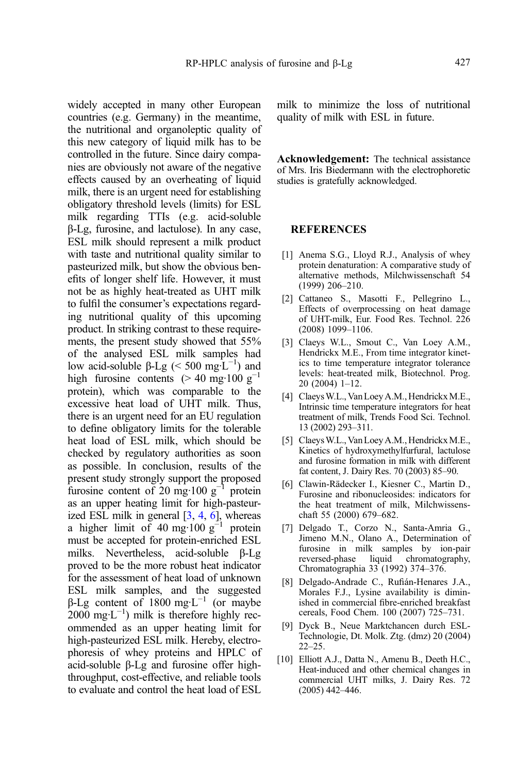<span id="page-14-0"></span>widely accepted in many other European countries (e.g. Germany) in the meantime, the nutritional and organoleptic quality of this new category of liquid milk has to be controlled in the future. Since dairy companies are obviously not aware of the negative effects caused by an overheating of liquid milk, there is an urgent need for establishing obligatory threshold levels (limits) for ESL milk regarding TTIs (e.g. acid-soluble β-Lg, furosine, and lactulose). In any case, ESL milk should represent a milk product with taste and nutritional quality similar to pasteurized milk, but show the obvious benefits of longer shelf life. However, it must not be as highly heat-treated as UHT milk to fulfil the consumer's expectations regarding nutritional quality of this upcoming product. In striking contrast to these requirements, the present study showed that 55% of the analysed ESL milk samples had low acid-soluble  $\beta$ -Lg (< 500 mg·L<sup>-1</sup>) and high furosine contents (> 40 mg·100 g<sup>-1</sup> protein), which was comparable to the excessive heat load of UHT milk. Thus, there is an urgent need for an EU regulation to define obligatory limits for the tolerable heat load of ESL milk, which should be checked by regulatory authorities as soon as possible. In conclusion, results of the present study strongly support the proposed furosine content of 20 mg·100 g<sup>-1</sup> protein as an upper heating limit for high-pasteurized ESL milk in general [3, 4, 6], whereas a higher limit of 40 mg·100 g<sup>-1</sup> protein must be accepted for protein-enriched ESL milks. Nevertheless, acid-soluble β-Lg proved to be the more robust heat indicator for the assessment of heat load of unknown ESL milk samples, and the suggested β-Lg content of 1800 mg·L−<sup>1</sup> (or maybe  $2000 \text{ mg} \cdot L^{-1}$ ) milk is therefore highly recommended as an upper heating limit for high-pasteurized ESL milk. Hereby, electrophoresis of whey proteins and HPLC of acid-soluble β-Lg and furosine offer highthroughput, cost-effective, and reliable tools to evaluate and control the heat load of ESL

milk to minimize the loss of nutritional quality of milk with ESL in future.

Acknowledgement: The technical assistance of Mrs. Iris Biedermann with the electrophoretic studies is gratefully acknowledged.

# **REFERENCES**

- [1] Anema S.G., Lloyd R.J., Analysis of whey protein denaturation: A comparative study of alternative methods, Milchwissenschaft 54 (1999) 206–210.
- [2] Cattaneo S., Masotti F., Pellegrino L., Effects of overprocessing on heat damage of UHT-milk, Eur. Food Res. Technol. 226 (2008) 1099–1106.
- [3] Claeys W.L., Smout C., Van Loey A.M., Hendrickx M.E., From time integrator kinetics to time temperature integrator tolerance levels: heat-treated milk, Biotechnol. Prog. 20 (2004) 1–12.
- [4] Claeys W.L., Van Loey A.M., Hendrickx M.E., Intrinsic time temperature integrators for heat treatment of milk, Trends Food Sci. Technol. 13 (2002) 293–311.
- [5] Claeys W.L., Van Loey A.M., Hendrickx M.E., Kinetics of hydroxymethylfurfural, lactulose and furosine formation in milk with different fat content, J. Dairy Res. 70 (2003) 85–90.
- [6] Clawin-Rädecker I., Kiesner C., Martin D., Furosine and ribonucleosides: indicators for the heat treatment of milk, Milchwissenschaft 55 (2000) 679–682.
- [7] Delgado T., Corzo N., Santa-Amria G., Jimeno M.N., Olano A., Determination of furosine in milk samples by ion-pair reversed-phase liquid chromatography, Chromatographia 33 (1992) 374–376.
- [8] Delgado-Andrade C., Rufián-Henares J.A., Morales F.J., Lysine availability is diminished in commercial fibre-enriched breakfast cereals, Food Chem. 100 (2007) 725–731.
- [9] Dyck B., Neue Marktchancen durch ESL-Technologie, Dt. Molk. Ztg. (dmz) 20 (2004) 22–25.
- [10] Elliott A.J., Datta N., Amenu B., Deeth H.C., Heat-induced and other chemical changes in commercial UHT milks, J. Dairy Res. 72 (2005) 442–446.